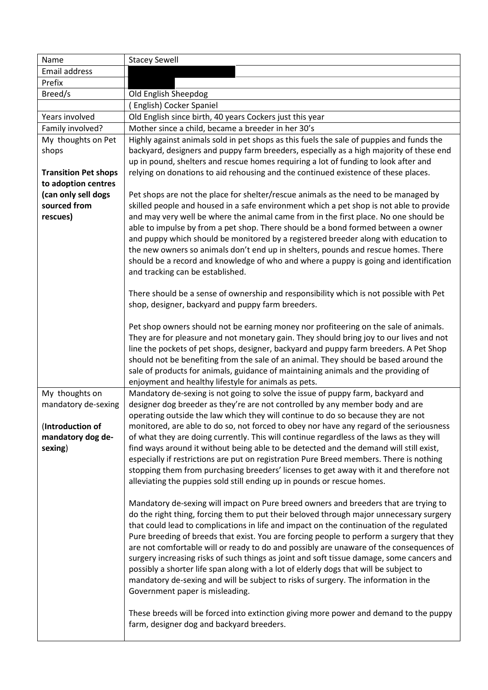| Name                        | <b>Stacey Sewell</b>                                                                                                                                                            |
|-----------------------------|---------------------------------------------------------------------------------------------------------------------------------------------------------------------------------|
| Email address               |                                                                                                                                                                                 |
| Prefix                      |                                                                                                                                                                                 |
| Breed/s                     | Old English Sheepdog                                                                                                                                                            |
|                             | English) Cocker Spaniel                                                                                                                                                         |
| Years involved              | Old English since birth, 40 years Cockers just this year                                                                                                                        |
| Family involved?            | Mother since a child, became a breeder in her 30's                                                                                                                              |
| My thoughts on Pet          | Highly against animals sold in pet shops as this fuels the sale of puppies and funds the                                                                                        |
| shops                       | backyard, designers and puppy farm breeders, especially as a high majority of these end                                                                                         |
|                             | up in pound, shelters and rescue homes requiring a lot of funding to look after and                                                                                             |
| <b>Transition Pet shops</b> | relying on donations to aid rehousing and the continued existence of these places.                                                                                              |
| to adoption centres         |                                                                                                                                                                                 |
| (can only sell dogs         | Pet shops are not the place for shelter/rescue animals as the need to be managed by                                                                                             |
| sourced from                | skilled people and housed in a safe environment which a pet shop is not able to provide                                                                                         |
| rescues)                    | and may very well be where the animal came from in the first place. No one should be<br>able to impulse by from a pet shop. There should be a bond formed between a owner       |
|                             | and puppy which should be monitored by a registered breeder along with education to                                                                                             |
|                             | the new owners so animals don't end up in shelters, pounds and rescue homes. There                                                                                              |
|                             | should be a record and knowledge of who and where a puppy is going and identification                                                                                           |
|                             | and tracking can be established.                                                                                                                                                |
|                             |                                                                                                                                                                                 |
|                             | There should be a sense of ownership and responsibility which is not possible with Pet                                                                                          |
|                             | shop, designer, backyard and puppy farm breeders.                                                                                                                               |
|                             |                                                                                                                                                                                 |
|                             | Pet shop owners should not be earning money nor profiteering on the sale of animals.                                                                                            |
|                             | They are for pleasure and not monetary gain. They should bring joy to our lives and not                                                                                         |
|                             | line the pockets of pet shops, designer, backyard and puppy farm breeders. A Pet Shop                                                                                           |
|                             | should not be benefiting from the sale of an animal. They should be based around the                                                                                            |
|                             | sale of products for animals, guidance of maintaining animals and the providing of                                                                                              |
|                             | enjoyment and healthy lifestyle for animals as pets.                                                                                                                            |
| My thoughts on              | Mandatory de-sexing is not going to solve the issue of puppy farm, backyard and                                                                                                 |
| mandatory de-sexing         | designer dog breeder as they're are not controlled by any member body and are                                                                                                   |
|                             | operating outside the law which they will continue to do so because they are not                                                                                                |
| (Introduction of            | monitored, are able to do so, not forced to obey nor have any regard of the seriousness                                                                                         |
| mandatory dog de-           | of what they are doing currently. This will continue regardless of the laws as they will                                                                                        |
| sexing)                     | find ways around it without being able to be detected and the demand will still exist,                                                                                          |
|                             | especially if restrictions are put on registration Pure Breed members. There is nothing                                                                                         |
|                             | stopping them from purchasing breeders' licenses to get away with it and therefore not                                                                                          |
|                             | alleviating the puppies sold still ending up in pounds or rescue homes.                                                                                                         |
|                             |                                                                                                                                                                                 |
|                             | Mandatory de-sexing will impact on Pure breed owners and breeders that are trying to<br>do the right thing, forcing them to put their beloved through major unnecessary surgery |
|                             | that could lead to complications in life and impact on the continuation of the regulated                                                                                        |
|                             | Pure breeding of breeds that exist. You are forcing people to perform a surgery that they                                                                                       |
|                             | are not comfortable will or ready to do and possibly are unaware of the consequences of                                                                                         |
|                             | surgery increasing risks of such things as joint and soft tissue damage, some cancers and                                                                                       |
|                             | possibly a shorter life span along with a lot of elderly dogs that will be subject to                                                                                           |
|                             | mandatory de-sexing and will be subject to risks of surgery. The information in the                                                                                             |
|                             | Government paper is misleading.                                                                                                                                                 |
|                             |                                                                                                                                                                                 |
|                             | These breeds will be forced into extinction giving more power and demand to the puppy                                                                                           |
|                             | farm, designer dog and backyard breeders.                                                                                                                                       |
|                             |                                                                                                                                                                                 |